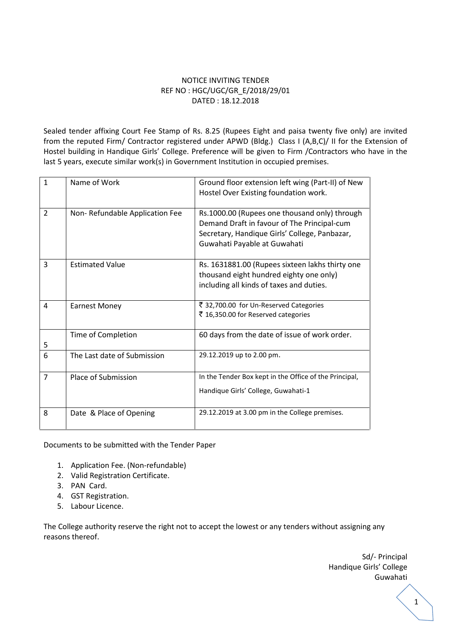# NOTICE INVITING TENDER REF NO : HGC/UGC/GR\_E/2018/29/01 DATED : 18.12.2018

Sealed tender affixing Court Fee Stamp of Rs. 8.25 (Rupees Eight and paisa twenty five only) are invited from the reputed Firm/ Contractor registered under APWD (Bldg.) Class I (A,B,C)/ II for the Extension of Hostel building in Handique Girls' College. Preference will be given to Firm /Contractors who have in the last 5 years, execute similar work(s) in Government Institution in occupied premises.

| $\mathbf{1}$   | Name of Work                   | Ground floor extension left wing (Part-II) of New<br>Hostel Over Existing foundation work.                                                                                    |
|----------------|--------------------------------|-------------------------------------------------------------------------------------------------------------------------------------------------------------------------------|
| $\overline{2}$ | Non-Refundable Application Fee | Rs.1000.00 (Rupees one thousand only) through<br>Demand Draft in favour of The Principal-cum<br>Secretary, Handique Girls' College, Panbazar,<br>Guwahati Payable at Guwahati |
| 3              | <b>Estimated Value</b>         | Rs. 1631881.00 (Rupees sixteen lakhs thirty one<br>thousand eight hundred eighty one only)<br>including all kinds of taxes and duties.                                        |
| 4              | <b>Earnest Money</b>           | ₹ 32,700.00 for Un-Reserved Categories<br>₹ 16,350.00 for Reserved categories                                                                                                 |
| 5              | Time of Completion             | 60 days from the date of issue of work order.                                                                                                                                 |
| 6              | The Last date of Submission    | 29.12.2019 up to 2.00 pm.                                                                                                                                                     |
| 7              | Place of Submission            | In the Tender Box kept in the Office of the Principal,<br>Handique Girls' College, Guwahati-1                                                                                 |
| 8              | Date & Place of Opening        | 29.12.2019 at 3.00 pm in the College premises.                                                                                                                                |

Documents to be submitted with the Tender Paper

- 1. Application Fee. (Non-refundable)
- 2. Valid Registration Certificate.
- 3. PAN Card.
- 4. GST Registration.
- 5. Labour Licence.

The College authority reserve the right not to accept the lowest or any tenders without assigning any reasons thereof.

> Sd/- Principal Handique Girls' College Guwahati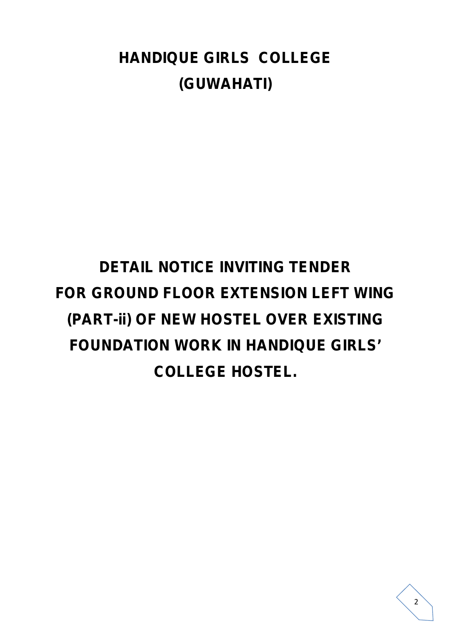# **HANDIQUE GIRLS COLLEGE (GUWAHATI)**

# **DETAIL NOTICE INVITING TENDER FOR GROUND FLOOR EXTENSION LEFT WING (PART-ii) OF NEW HOSTEL OVER EXISTING FOUNDATION WORK IN HANDIQUE GIRLS' COLLEGE HOSTEL.**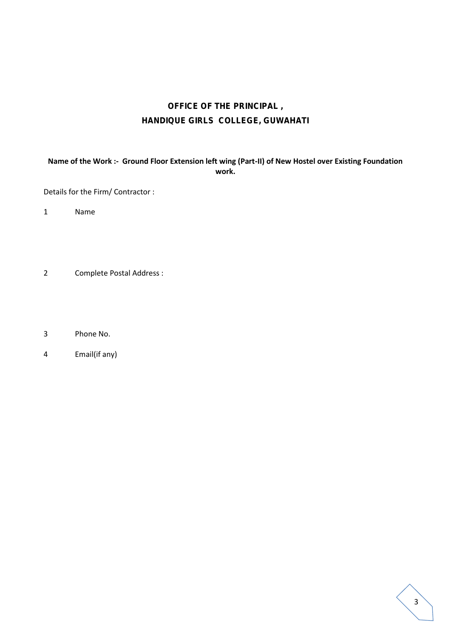# **OFFICE OF THE PRINCIPAL , HANDIQUE GIRLS COLLEGE, GUWAHATI**

**Name of the Work :- Ground Floor Extension left wing (Part-II) of New Hostel over Existing Foundation work.**

Details for the Firm/ Contractor :

1 Name

- 2 Complete Postal Address :
- 3 Phone No.
- 4 Email(if any)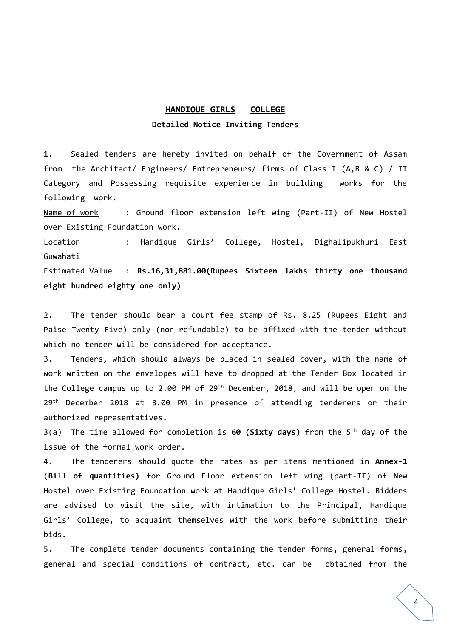# **HANDIQUE GIRLS COLLEGE**

# **Detailed Notice Inviting Tenders**

1. Sealed tenders are hereby invited on behalf of the Government of Assam from the Architect/ Engineers/ Entrepreneurs/ firms of Class I (A,B & C) / II Category and Possessing requisite experience in building works for the following work.

Name of work : Ground floor extension left wing (Part-II) of New Hostel over Existing Foundation work.

Location : Handique Girls' College, Hostel, Dighalipukhuri East Guwahati

Estimated Value : **Rs.16,31,881.00(Rupees Sixteen lakhs thirty one thousand eight hundred eighty one only)**

2. The tender should bear a court fee stamp of Rs. 8.25 (Rupees Eight and Paise Twenty Five) only (non-refundable) to be affixed with the tender without which no tender will be considered for acceptance.

3. Tenders, which should always be placed in sealed cover, with the name of work written on the envelopes will have to dropped at the Tender Box located in the College campus up to 2.00 PM of 29<sup>th</sup> December, 2018, and will be open on the 29 th December 2018 at 3.00 PM in presence of attending tenderers or their authorized representatives.

3(a) The time allowed for completion is **60 (Sixty days)** from the 5 th day of the issue of the formal work order.

4. The tenderers should quote the rates as per items mentioned in **Annex-1** (**Bill of quantities)** for Ground Floor extension left wing (part-II) of New Hostel over Existing Foundation work at Handique Girls' College Hostel. Bidders are advised to visit the site, with intimation to the Principal, Handique Girls' College, to acquaint themselves with the work before submitting their bids.

5. The complete tender documents containing the tender forms, general forms, general and special conditions of contract, etc. can be obtained from the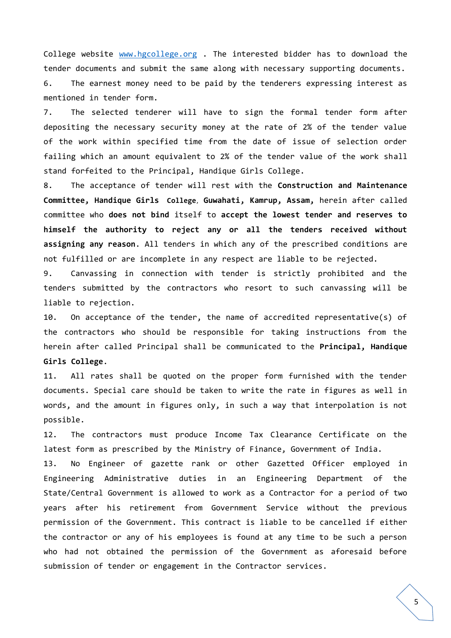College website www.hgcollege.org . The interested bidder has to download the tender documents and submit the same along with necessary supporting documents. 6. The earnest money need to be paid by the tenderers expressing interest as mentioned in tender form.

7. The selected tenderer will have to sign the formal tender form after depositing the necessary security money at the rate of 2% of the tender value of the work within specified time from the date of issue of selection order failing which an amount equivalent to 2% of the tender value of the work shall stand forfeited to the Principal, Handique Girls College.

8. The acceptance of tender will rest with the **Construction and Maintenance Committee, Handique Girls College, Guwahati, Kamrup, Assam,** herein after called committee who **does not bind** itself to **accept the lowest tender and reserves to himself the authority to reject any or all the tenders received without assigning any reason**. All tenders in which any of the prescribed conditions are not fulfilled or are incomplete in any respect are liable to be rejected.

9. Canvassing in connection with tender is strictly prohibited and the tenders submitted by the contractors who resort to such canvassing will be liable to rejection.

10. On acceptance of the tender, the name of accredited representative(s) of the contractors who should be responsible for taking instructions from the herein after called Principal shall be communicated to the **Principal, Handique Girls College**.

11. All rates shall be quoted on the proper form furnished with the tender documents. Special care should be taken to write the rate in figures as well in words, and the amount in figures only, in such a way that interpolation is not possible.

12. The contractors must produce Income Tax Clearance Certificate on the latest form as prescribed by the Ministry of Finance, Government of India.

13. No Engineer of gazette rank or other Gazetted Officer employed in Engineering Administrative duties in an Engineering Department of the State/Central Government is allowed to work as a Contractor for a period of two years after his retirement from Government Service without the previous permission of the Government. This contract is liable to be cancelled if either the contractor or any of his employees is found at any time to be such a person who had not obtained the permission of the Government as aforesaid before submission of tender or engagement in the Contractor services.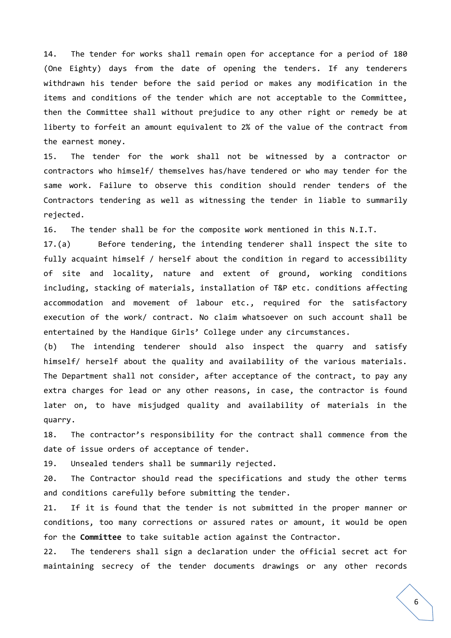14. The tender for works shall remain open for acceptance for a period of 180 (One Eighty) days from the date of opening the tenders. If any tenderers withdrawn his tender before the said period or makes any modification in the items and conditions of the tender which are not acceptable to the Committee, then the Committee shall without prejudice to any other right or remedy be at liberty to forfeit an amount equivalent to 2% of the value of the contract from the earnest money.

15. The tender for the work shall not be witnessed by a contractor or contractors who himself/ themselves has/have tendered or who may tender for the same work. Failure to observe this condition should render tenders of the Contractors tendering as well as witnessing the tender in liable to summarily rejected.

16. The tender shall be for the composite work mentioned in this N.I.T.

17.(a) Before tendering, the intending tenderer shall inspect the site to fully acquaint himself / herself about the condition in regard to accessibility of site and locality, nature and extent of ground, working conditions including, stacking of materials, installation of T&P etc. conditions affecting accommodation and movement of labour etc., required for the satisfactory execution of the work/ contract. No claim whatsoever on such account shall be entertained by the Handique Girls' College under any circumstances.

(b) The intending tenderer should also inspect the quarry and satisfy himself/ herself about the quality and availability of the various materials. The Department shall not consider, after acceptance of the contract, to pay any extra charges for lead or any other reasons, in case, the contractor is found later on, to have misjudged quality and availability of materials in the quarry.

18. The contractor's responsibility for the contract shall commence from the date of issue orders of acceptance of tender.

19. Unsealed tenders shall be summarily rejected.

20. The Contractor should read the specifications and study the other terms and conditions carefully before submitting the tender.

21. If it is found that the tender is not submitted in the proper manner or conditions, too many corrections or assured rates or amount, it would be open for the **Committee** to take suitable action against the Contractor.

22. The tenderers shall sign a declaration under the official secret act for maintaining secrecy of the tender documents drawings or any other records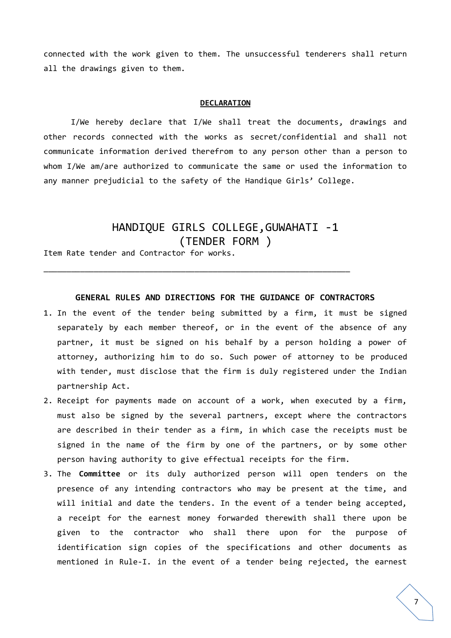connected with the work given to them. The unsuccessful tenderers shall return all the drawings given to them.

#### **DECLARATION**

I/We hereby declare that I/We shall treat the documents, drawings and other records connected with the works as secret/confidential and shall not communicate information derived therefrom to any person other than a person to whom I/We am/are authorized to communicate the same or used the information to any manner prejudicial to the safety of the Handique Girls' College.

# HANDIQUE GIRLS COLLEGE,GUWAHATI -1 (TENDER FORM )

Item Rate tender and Contractor for works.

# **GENERAL RULES AND DIRECTIONS FOR THE GUIDANCE OF CONTRACTORS**

\_\_\_\_\_\_\_\_\_\_\_\_\_\_\_\_\_\_\_\_\_\_\_\_\_\_\_\_\_\_\_\_\_\_\_\_\_\_\_\_\_\_\_\_\_\_\_\_\_\_\_\_\_\_\_\_\_\_\_\_\_\_\_\_\_\_\_

- 1. In the event of the tender being submitted by a firm, it must be signed separately by each member thereof, or in the event of the absence of any partner, it must be signed on his behalf by a person holding a power of attorney, authorizing him to do so. Such power of attorney to be produced with tender, must disclose that the firm is duly registered under the Indian partnership Act.
- 2. Receipt for payments made on account of a work, when executed by a firm, must also be signed by the several partners, except where the contractors are described in their tender as a firm, in which case the receipts must be signed in the name of the firm by one of the partners, or by some other person having authority to give effectual receipts for the firm.
- 3. The **Committee** or its duly authorized person will open tenders on the presence of any intending contractors who may be present at the time, and will initial and date the tenders. In the event of a tender being accepted, a receipt for the earnest money forwarded therewith shall there upon be given to the contractor who shall there upon for the purpose of identification sign copies of the specifications and other documents as mentioned in Rule-I. in the event of a tender being rejected, the earnest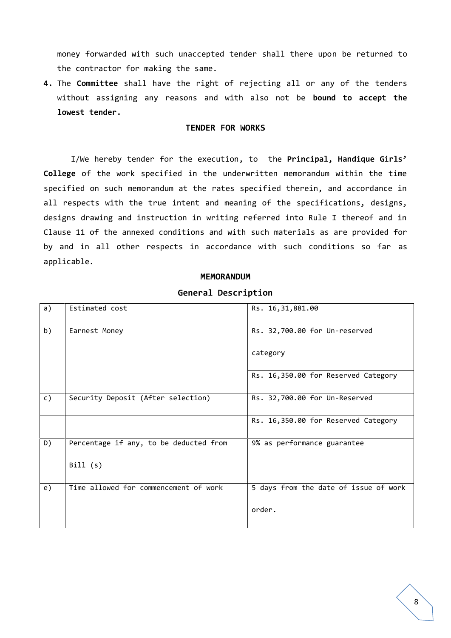money forwarded with such unaccepted tender shall there upon be returned to the contractor for making the same.

**4.** The **Committee** shall have the right of rejecting all or any of the tenders without assigning any reasons and with also not be **bound to accept the lowest tender.**

## **TENDER FOR WORKS**

I/We hereby tender for the execution, to the **Principal, Handique Girls' College** of the work specified in the underwritten memorandum within the time specified on such memorandum at the rates specified therein, and accordance in all respects with the true intent and meaning of the specifications, designs, designs drawing and instruction in writing referred into Rule I thereof and in Clause 11 of the annexed conditions and with such materials as are provided for by and in all other respects in accordance with such conditions so far as applicable.

#### **MEMORANDUM**

## **General Description**

| a) | Estimated cost                         | Rs. 16, 31, 881.00                    |
|----|----------------------------------------|---------------------------------------|
| b) | Earnest Money                          | Rs. 32,700.00 for Un-reserved         |
|    |                                        | category                              |
|    |                                        | Rs. 16,350.00 for Reserved Category   |
| c) | Security Deposit (After selection)     | Rs. 32,700.00 for Un-Reserved         |
|    |                                        | Rs. 16,350.00 for Reserved Category   |
| D) | Percentage if any, to be deducted from | 9% as performance guarantee           |
|    | Bill(s)                                |                                       |
| e) | Time allowed for commencement of work  | 5 days from the date of issue of work |
|    |                                        | order.                                |
|    |                                        |                                       |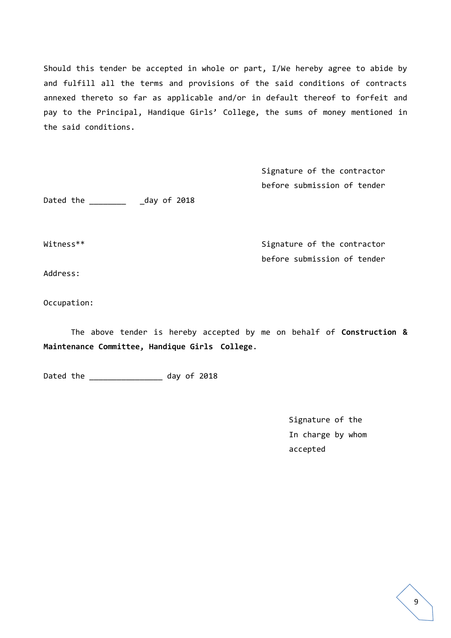Should this tender be accepted in whole or part, I/We hereby agree to abide by and fulfill all the terms and provisions of the said conditions of contracts annexed thereto so far as applicable and/or in default thereof to forfeit and pay to the Principal, Handique Girls' College, the sums of money mentioned in the said conditions.

> Signature of the contractor before submission of tender

Dated the \_\_\_\_\_\_\_\_\_\_\_ \_day of 2018

Witness\*\* Signature of the contractor before submission of tender

Address:

Occupation:

The above tender is hereby accepted by me on behalf of **Construction & Maintenance Committee, Handique Girls College**.

Dated the \_\_\_\_\_\_\_\_\_\_\_\_\_\_\_\_\_\_\_ day of 2018

Signature of the In charge by whom accepted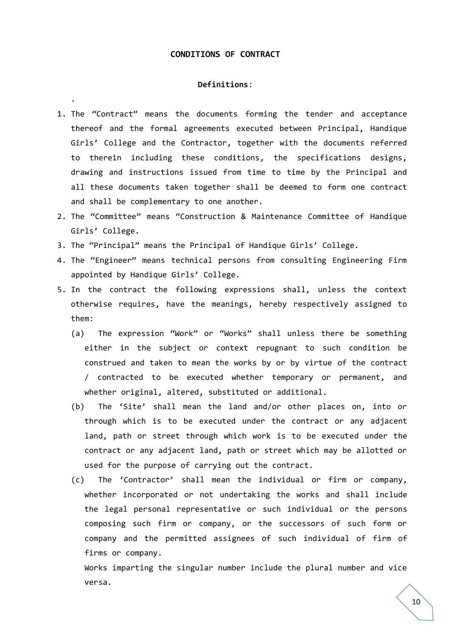# **CONDITIONS OF CONTRACT**

#### **Definitions**:

.

- 1. The "Contract" means the documents forming the tender and acceptance thereof and the formal agreements executed between Principal, Handique Girls' College and the Contractor, together with the documents referred to therein including these conditions, the specifications designs, drawing and instructions issued from time to time by the Principal and all these documents taken together shall be deemed to form one contract and shall be complementary to one another.
- 2. The "Committee" means "Construction & Maintenance Committee of Handique Girls' College.
- 3. The "Principal" means the Principal of Handique Girls' College.
- 4. The "Engineer" means technical persons from consulting Engineering Firm appointed by Handique Girls' College.
- 5. In the contract the following expressions shall, unless the context otherwise requires, have the meanings, hereby respectively assigned to them:
	- (a) The expression "Work" or "Works" shall unless there be something either in the subject or context repugnant to such condition be construed and taken to mean the works by or by virtue of the contract / contracted to be executed whether temporary or permanent, and whether original, altered, substituted or additional.
	- (b) The 'Site' shall mean the land and/or other places on, into or through which is to be executed under the contract or any adjacent land, path or street through which work is to be executed under the contract or any adjacent land, path or street which may be allotted or used for the purpose of carrying out the contract.
	- (c) The 'Contractor' shall mean the individual or firm or company, whether incorporated or not undertaking the works and shall include the legal personal representative or such individual or the persons composing such firm or company, or the successors of such form or company and the permitted assignees of such individual of firm of firms or company.

Works imparting the singular number include the plural number and vice versa.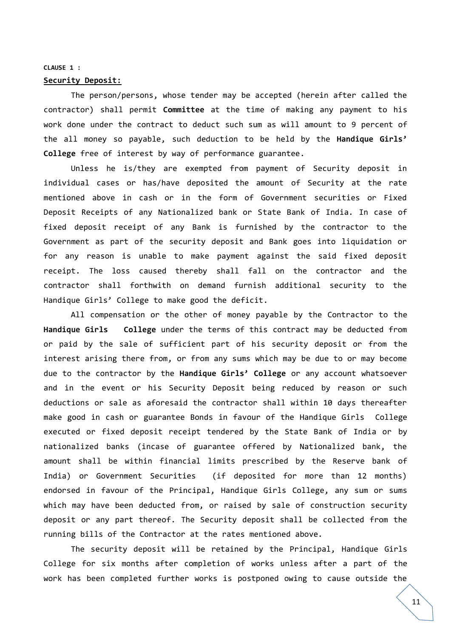#### **CLAUSE 1 :**

#### **Security Deposit:**

The person/persons, whose tender may be accepted (herein after called the contractor) shall permit **Committee** at the time of making any payment to his work done under the contract to deduct such sum as will amount to 9 percent of the all money so payable, such deduction to be held by the **Handique Girls' College** free of interest by way of performance guarantee.

Unless he is/they are exempted from payment of Security deposit in individual cases or has/have deposited the amount of Security at the rate mentioned above in cash or in the form of Government securities or Fixed Deposit Receipts of any Nationalized bank or State Bank of India. In case of fixed deposit receipt of any Bank is furnished by the contractor to the Government as part of the security deposit and Bank goes into liquidation or for any reason is unable to make payment against the said fixed deposit receipt. The loss caused thereby shall fall on the contractor and the contractor shall forthwith on demand furnish additional security to the Handique Girls' College to make good the deficit.

All compensation or the other of money payable by the Contractor to the **Handique Girls College** under the terms of this contract may be deducted from or paid by the sale of sufficient part of his security deposit or from the interest arising there from, or from any sums which may be due to or may become due to the contractor by the **Handique Girls' College** or any account whatsoever and in the event or his Security Deposit being reduced by reason or such deductions or sale as aforesaid the contractor shall within 10 days thereafter make good in cash or guarantee Bonds in favour of the Handique Girls College executed or fixed deposit receipt tendered by the State Bank of India or by nationalized banks (incase of guarantee offered by Nationalized bank, the amount shall be within financial limits prescribed by the Reserve bank of India) or Government Securities (if deposited for more than 12 months) endorsed in favour of the Principal, Handique Girls College, any sum or sums which may have been deducted from, or raised by sale of construction security deposit or any part thereof. The Security deposit shall be collected from the running bills of the Contractor at the rates mentioned above.

The security deposit will be retained by the Principal, Handique Girls College for six months after completion of works unless after a part of the work has been completed further works is postponed owing to cause outside the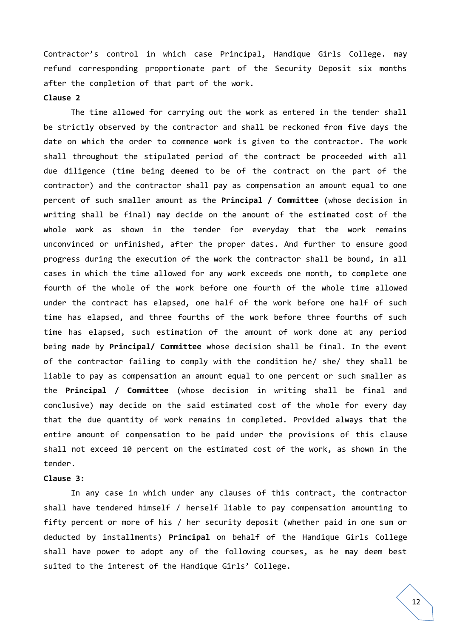Contractor's control in which case Principal, Handique Girls College. may refund corresponding proportionate part of the Security Deposit six months after the completion of that part of the work.

## **Clause 2**

The time allowed for carrying out the work as entered in the tender shall be strictly observed by the contractor and shall be reckoned from five days the date on which the order to commence work is given to the contractor. The work shall throughout the stipulated period of the contract be proceeded with all due diligence (time being deemed to be of the contract on the part of the contractor) and the contractor shall pay as compensation an amount equal to one percent of such smaller amount as the **Principal / Committee** (whose decision in writing shall be final) may decide on the amount of the estimated cost of the whole work as shown in the tender for everyday that the work remains unconvinced or unfinished, after the proper dates. And further to ensure good progress during the execution of the work the contractor shall be bound, in all cases in which the time allowed for any work exceeds one month, to complete one fourth of the whole of the work before one fourth of the whole time allowed under the contract has elapsed, one half of the work before one half of such time has elapsed, and three fourths of the work before three fourths of such time has elapsed, such estimation of the amount of work done at any period being made by **Principal/ Committee** whose decision shall be final. In the event of the contractor failing to comply with the condition he/ she/ they shall be liable to pay as compensation an amount equal to one percent or such smaller as the **Principal / Committee** (whose decision in writing shall be final and conclusive) may decide on the said estimated cost of the whole for every day that the due quantity of work remains in completed. Provided always that the entire amount of compensation to be paid under the provisions of this clause shall not exceed 10 percent on the estimated cost of the work, as shown in the tender.

# **Clause 3:**

In any case in which under any clauses of this contract, the contractor shall have tendered himself / herself liable to pay compensation amounting to fifty percent or more of his / her security deposit (whether paid in one sum or deducted by installments) **Principal** on behalf of the Handique Girls College shall have power to adopt any of the following courses, as he may deem best suited to the interest of the Handique Girls' College.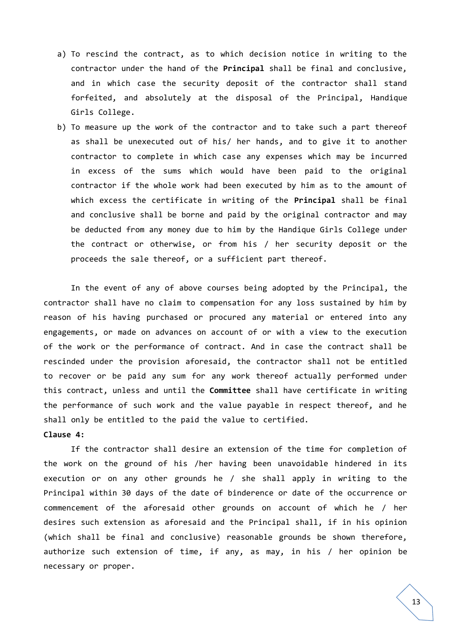- a) To rescind the contract, as to which decision notice in writing to the contractor under the hand of the **Principal** shall be final and conclusive, and in which case the security deposit of the contractor shall stand forfeited, and absolutely at the disposal of the Principal, Handique Girls College.
- b) To measure up the work of the contractor and to take such a part thereof as shall be unexecuted out of his/ her hands, and to give it to another contractor to complete in which case any expenses which may be incurred in excess of the sums which would have been paid to the original contractor if the whole work had been executed by him as to the amount of which excess the certificate in writing of the **Principal** shall be final and conclusive shall be borne and paid by the original contractor and may be deducted from any money due to him by the Handique Girls College under the contract or otherwise, or from his / her security deposit or the proceeds the sale thereof, or a sufficient part thereof.

In the event of any of above courses being adopted by the Principal, the contractor shall have no claim to compensation for any loss sustained by him by reason of his having purchased or procured any material or entered into any engagements, or made on advances on account of or with a view to the execution of the work or the performance of contract. And in case the contract shall be rescinded under the provision aforesaid, the contractor shall not be entitled to recover or be paid any sum for any work thereof actually performed under this contract, unless and until the **Committee** shall have certificate in writing the performance of such work and the value payable in respect thereof, and he shall only be entitled to the paid the value to certified.

**Clause 4:**

If the contractor shall desire an extension of the time for completion of the work on the ground of his /her having been unavoidable hindered in its execution or on any other grounds he / she shall apply in writing to the Principal within 30 days of the date of binderence or date of the occurrence or commencement of the aforesaid other grounds on account of which he / her desires such extension as aforesaid and the Principal shall, if in his opinion (which shall be final and conclusive) reasonable grounds be shown therefore, authorize such extension of time, if any, as may, in his / her opinion be necessary or proper.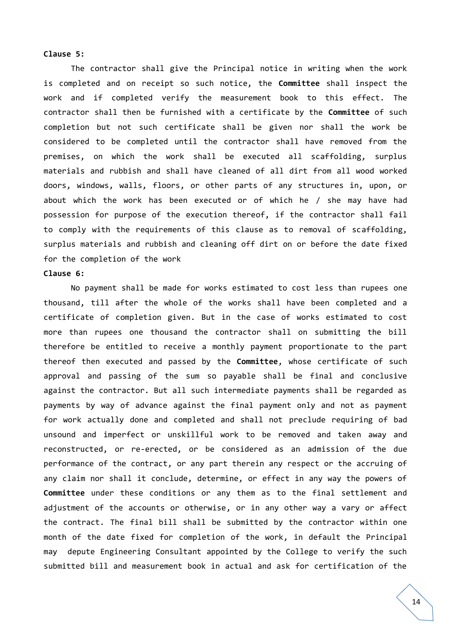# **Clause 5:**

The contractor shall give the Principal notice in writing when the work is completed and on receipt so such notice, the **Committee** shall inspect the work and if completed verify the measurement book to this effect. The contractor shall then be furnished with a certificate by the **Committee** of such completion but not such certificate shall be given nor shall the work be considered to be completed until the contractor shall have removed from the premises, on which the work shall be executed all scaffolding, surplus materials and rubbish and shall have cleaned of all dirt from all wood worked doors, windows, walls, floors, or other parts of any structures in, upon, or about which the work has been executed or of which he / she may have had possession for purpose of the execution thereof, if the contractor shall fail to comply with the requirements of this clause as to removal of scaffolding, surplus materials and rubbish and cleaning off dirt on or before the date fixed for the completion of the work

### **Clause 6:**

No payment shall be made for works estimated to cost less than rupees one thousand, till after the whole of the works shall have been completed and a certificate of completion given. But in the case of works estimated to cost more than rupees one thousand the contractor shall on submitting the bill therefore be entitled to receive a monthly payment proportionate to the part thereof then executed and passed by the **Committee**, whose certificate of such approval and passing of the sum so payable shall be final and conclusive against the contractor. But all such intermediate payments shall be regarded as payments by way of advance against the final payment only and not as payment for work actually done and completed and shall not preclude requiring of bad unsound and imperfect or unskillful work to be removed and taken away and reconstructed, or re-erected, or be considered as an admission of the due performance of the contract, or any part therein any respect or the accruing of any claim nor shall it conclude, determine, or effect in any way the powers of **Committee** under these conditions or any them as to the final settlement and adjustment of the accounts or otherwise, or in any other way a vary or affect the contract. The final bill shall be submitted by the contractor within one month of the date fixed for completion of the work, in default the Principal may depute Engineering Consultant appointed by the College to verify the such submitted bill and measurement book in actual and ask for certification of the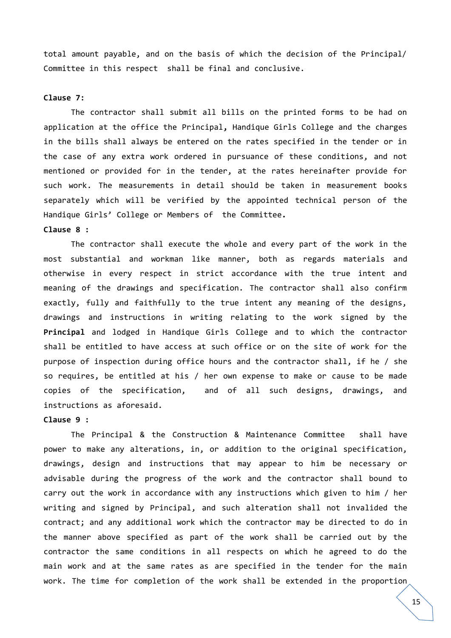total amount payable, and on the basis of which the decision of the Principal/ Committee in this respect shall be final and conclusive.

## **Clause 7:**

The contractor shall submit all bills on the printed forms to be had on application at the office the Principal**,** Handique Girls College and the charges in the bills shall always be entered on the rates specified in the tender or in the case of any extra work ordered in pursuance of these conditions, and not mentioned or provided for in the tender, at the rates hereinafter provide for such work. The measurements in detail should be taken in measurement books separately which will be verified by the appointed technical person of the Handique Girls' College or Members of the Committee**.**

# **Clause 8 :**

The contractor shall execute the whole and every part of the work in the most substantial and workman like manner, both as regards materials and otherwise in every respect in strict accordance with the true intent and meaning of the drawings and specification. The contractor shall also confirm exactly, fully and faithfully to the true intent any meaning of the designs, drawings and instructions in writing relating to the work signed by the **Principal** and lodged in Handique Girls College and to which the contractor shall be entitled to have access at such office or on the site of work for the purpose of inspection during office hours and the contractor shall, if he / she so requires, be entitled at his / her own expense to make or cause to be made copies of the specification, and of all such designs, drawings, and instructions as aforesaid.

# **Clause 9 :**

The Principal & the Construction & Maintenance Committee shall have power to make any alterations, in, or addition to the original specification, drawings, design and instructions that may appear to him be necessary or advisable during the progress of the work and the contractor shall bound to carry out the work in accordance with any instructions which given to him / her writing and signed by Principal, and such alteration shall not invalided the contract; and any additional work which the contractor may be directed to do in the manner above specified as part of the work shall be carried out by the contractor the same conditions in all respects on which he agreed to do the main work and at the same rates as are specified in the tender for the main work. The time for completion of the work shall be extended in the proportion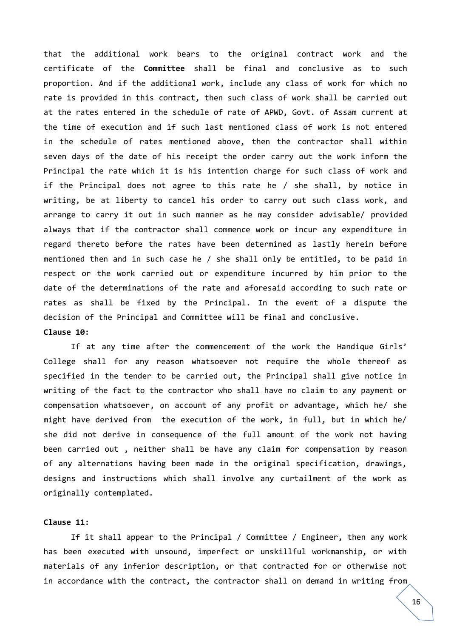that the additional work bears to the original contract work and the certificate of the **Committee** shall be final and conclusive as to such proportion. And if the additional work, include any class of work for which no rate is provided in this contract, then such class of work shall be carried out at the rates entered in the schedule of rate of APWD, Govt. of Assam current at the time of execution and if such last mentioned class of work is not entered in the schedule of rates mentioned above, then the contractor shall within seven days of the date of his receipt the order carry out the work inform the Principal the rate which it is his intention charge for such class of work and if the Principal does not agree to this rate he / she shall, by notice in writing, be at liberty to cancel his order to carry out such class work, and arrange to carry it out in such manner as he may consider advisable/ provided always that if the contractor shall commence work or incur any expenditure in regard thereto before the rates have been determined as lastly herein before mentioned then and in such case he / she shall only be entitled, to be paid in respect or the work carried out or expenditure incurred by him prior to the date of the determinations of the rate and aforesaid according to such rate or rates as shall be fixed by the Principal. In the event of a dispute the decision of the Principal and Committee will be final and conclusive. **Clause 10:**

If at any time after the commencement of the work the Handique Girls' College shall for any reason whatsoever not require the whole thereof as specified in the tender to be carried out, the Principal shall give notice in writing of the fact to the contractor who shall have no claim to any payment or compensation whatsoever, on account of any profit or advantage, which he/ she might have derived from the execution of the work, in full, but in which he/ she did not derive in consequence of the full amount of the work not having been carried out , neither shall be have any claim for compensation by reason of any alternations having been made in the original specification, drawings, designs and instructions which shall involve any curtailment of the work as originally contemplated.

# **Clause 11:**

If it shall appear to the Principal / Committee / Engineer, then any work has been executed with unsound, imperfect or unskillful workmanship, or with materials of any inferior description, or that contracted for or otherwise not in accordance with the contract, the contractor shall on demand in writing from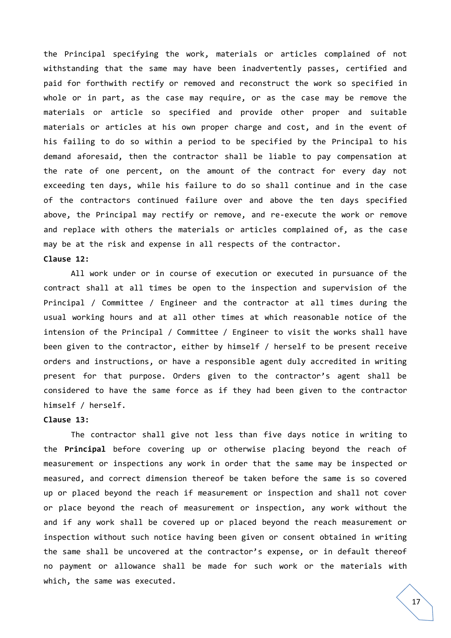the Principal specifying the work, materials or articles complained of not withstanding that the same may have been inadvertently passes, certified and paid for forthwith rectify or removed and reconstruct the work so specified in whole or in part, as the case may require, or as the case may be remove the materials or article so specified and provide other proper and suitable materials or articles at his own proper charge and cost, and in the event of his failing to do so within a period to be specified by the Principal to his demand aforesaid, then the contractor shall be liable to pay compensation at the rate of one percent, on the amount of the contract for every day not exceeding ten days, while his failure to do so shall continue and in the case of the contractors continued failure over and above the ten days specified above, the Principal may rectify or remove, and re-execute the work or remove and replace with others the materials or articles complained of, as the case may be at the risk and expense in all respects of the contractor. **Clause 12:**

All work under or in course of execution or executed in pursuance of the contract shall at all times be open to the inspection and supervision of the Principal / Committee / Engineer and the contractor at all times during the usual working hours and at all other times at which reasonable notice of the intension of the Principal / Committee / Engineer to visit the works shall have been given to the contractor, either by himself / herself to be present receive orders and instructions, or have a responsible agent duly accredited in writing present for that purpose. Orders given to the contractor's agent shall be considered to have the same force as if they had been given to the contractor himself / herself.

# **Clause 13:**

The contractor shall give not less than five days notice in writing to the **Principal** before covering up or otherwise placing beyond the reach of measurement or inspections any work in order that the same may be inspected or measured, and correct dimension thereof be taken before the same is so covered up or placed beyond the reach if measurement or inspection and shall not cover or place beyond the reach of measurement or inspection, any work without the and if any work shall be covered up or placed beyond the reach measurement or inspection without such notice having been given or consent obtained in writing the same shall be uncovered at the contractor's expense, or in default thereof no payment or allowance shall be made for such work or the materials with which, the same was executed.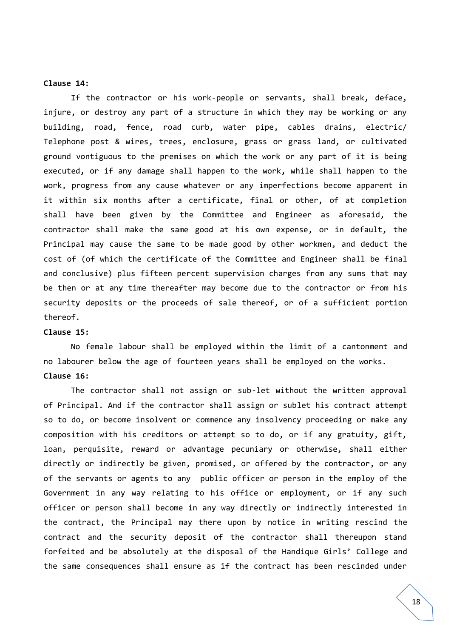#### **Clause 14:**

If the contractor or his work-people or servants, shall break, deface, injure, or destroy any part of a structure in which they may be working or any building, road, fence, road curb, water pipe, cables drains, electric/ Telephone post & wires, trees, enclosure, grass or grass land, or cultivated ground vontiguous to the premises on which the work or any part of it is being executed, or if any damage shall happen to the work, while shall happen to the work, progress from any cause whatever or any imperfections become apparent in it within six months after a certificate, final or other, of at completion shall have been given by the Committee and Engineer as aforesaid, the contractor shall make the same good at his own expense, or in default, the Principal may cause the same to be made good by other workmen, and deduct the cost of (of which the certificate of the Committee and Engineer shall be final and conclusive) plus fifteen percent supervision charges from any sums that may be then or at any time thereafter may become due to the contractor or from his security deposits or the proceeds of sale thereof, or of a sufficient portion thereof.

#### **Clause 15:**

No female labour shall be employed within the limit of a cantonment and no labourer below the age of fourteen years shall be employed on the works. **Clause 16:**

The contractor shall not assign or sub-let without the written approval of Principal. And if the contractor shall assign or sublet his contract attempt so to do, or become insolvent or commence any insolvency proceeding or make any composition with his creditors or attempt so to do, or if any gratuity, gift, loan, perquisite, reward or advantage pecuniary or otherwise, shall either directly or indirectly be given, promised, or offered by the contractor, or any of the servants or agents to any public officer or person in the employ of the Government in any way relating to his office or employment, or if any such officer or person shall become in any way directly or indirectly interested in the contract, the Principal may there upon by notice in writing rescind the contract and the security deposit of the contractor shall thereupon stand forfeited and be absolutely at the disposal of the Handique Girls' College and the same consequences shall ensure as if the contract has been rescinded under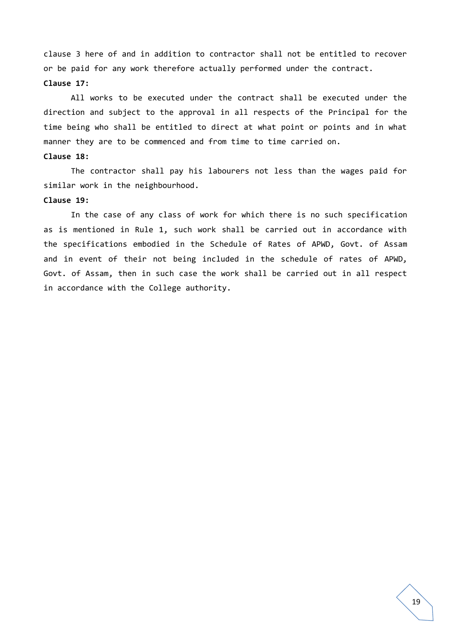clause 3 here of and in addition to contractor shall not be entitled to recover or be paid for any work therefore actually performed under the contract. **Clause 17:**

All works to be executed under the contract shall be executed under the direction and subject to the approval in all respects of the Principal for the time being who shall be entitled to direct at what point or points and in what manner they are to be commenced and from time to time carried on. **Clause 18:**

The contractor shall pay his labourers not less than the wages paid for similar work in the neighbourhood.

# **Clause 19:**

In the case of any class of work for which there is no such specification as is mentioned in Rule 1, such work shall be carried out in accordance with the specifications embodied in the Schedule of Rates of APWD, Govt. of Assam and in event of their not being included in the schedule of rates of APWD, Govt. of Assam, then in such case the work shall be carried out in all respect in accordance with the College authority.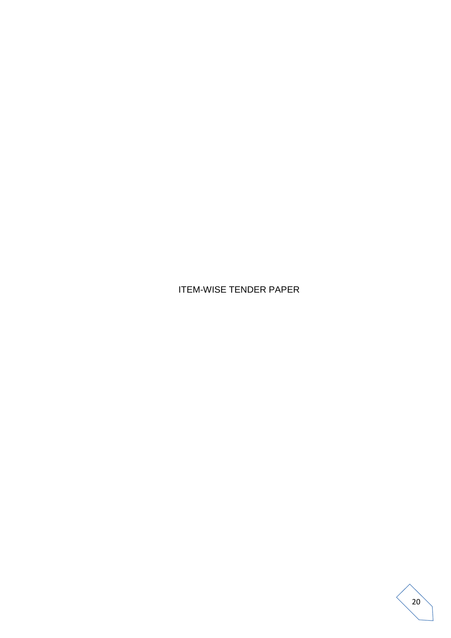ITEM-WISE TENDER PAPER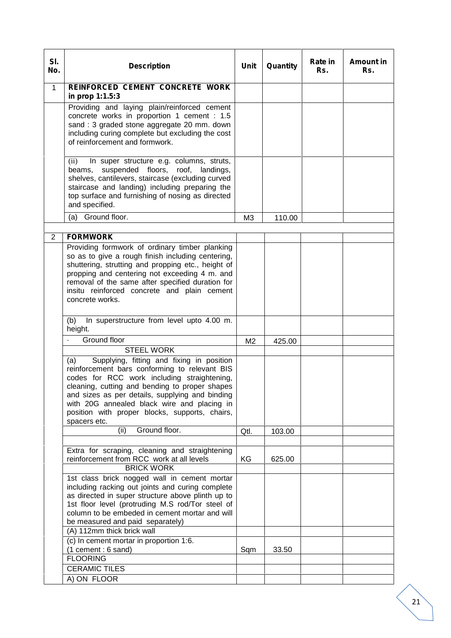| SI.<br>No.     | <b>Description</b>                                                                                                                                                                                                                                                                                                                                                     | Unit           | Quantity | Rate in<br>Rs. | Amount in<br>Rs. |
|----------------|------------------------------------------------------------------------------------------------------------------------------------------------------------------------------------------------------------------------------------------------------------------------------------------------------------------------------------------------------------------------|----------------|----------|----------------|------------------|
| $\mathbf{1}$   | REINFORCED CEMENT CONCRETE WORK<br>in prop 1:1.5:3                                                                                                                                                                                                                                                                                                                     |                |          |                |                  |
|                | Providing and laying plain/reinforced cement<br>concrete works in proportion 1 cement : 1.5<br>sand: 3 graded stone aggregate 20 mm. down<br>including curing complete but excluding the cost<br>of reinforcement and formwork.                                                                                                                                        |                |          |                |                  |
|                | (ii)<br>In super structure e.g. columns, struts,<br>beams, suspended floors, roof, landings,<br>shelves, cantilevers, staircase (excluding curved<br>staircase and landing) including preparing the<br>top surface and furnishing of nosing as directed<br>and specified.                                                                                              |                |          |                |                  |
|                | Ground floor.<br>(a)                                                                                                                                                                                                                                                                                                                                                   | M3             | 110.00   |                |                  |
| $\overline{2}$ | <b>FORMWORK</b>                                                                                                                                                                                                                                                                                                                                                        |                |          |                |                  |
|                | Providing formwork of ordinary timber planking<br>so as to give a rough finish including centering,<br>shuttering, strutting and propping etc., height of<br>propping and centering not exceeding 4 m. and<br>removal of the same after specified duration for<br>insitu reinforced concrete and plain cement<br>concrete works.                                       |                |          |                |                  |
|                | In superstructure from level upto 4.00 m.<br>(b)<br>height.                                                                                                                                                                                                                                                                                                            |                |          |                |                  |
|                | Ground floor<br><b>STEEL WORK</b>                                                                                                                                                                                                                                                                                                                                      | M <sub>2</sub> | 425.00   |                |                  |
|                | Supplying, fitting and fixing in position<br>(a)<br>reinforcement bars conforming to relevant BIS<br>codes for RCC work including straightening,<br>cleaning, cutting and bending to proper shapes<br>and sizes as per details, supplying and binding<br>with 20G annealed black wire and placing in<br>position with proper blocks, supports, chairs,<br>spacers etc. |                |          |                |                  |
|                | Ground floor.<br>(ii)                                                                                                                                                                                                                                                                                                                                                  | Qtl.           | 103.00   |                |                  |
|                | Extra for scraping, cleaning and straightening<br>reinforcement from RCC work at all levels<br><b>BRICK WORK</b>                                                                                                                                                                                                                                                       | KG             | 625.00   |                |                  |
|                | 1st class brick nogged wall in cement mortar<br>including racking out joints and curing complete<br>as directed in super structure above plinth up to<br>1st floor level (protruding M.S rod/Tor steel of<br>column to be embeded in cement mortar and will<br>be measured and paid separately)                                                                        |                |          |                |                  |
|                | (A) 112mm thick brick wall<br>(c) In cement mortar in proportion 1:6.                                                                                                                                                                                                                                                                                                  |                |          |                |                  |
|                | $(1$ cement : 6 sand)<br><b>FLOORING</b>                                                                                                                                                                                                                                                                                                                               | Sqm            | 33.50    |                |                  |
|                | <b>CERAMIC TILES</b><br>A) ON FLOOR                                                                                                                                                                                                                                                                                                                                    |                |          |                |                  |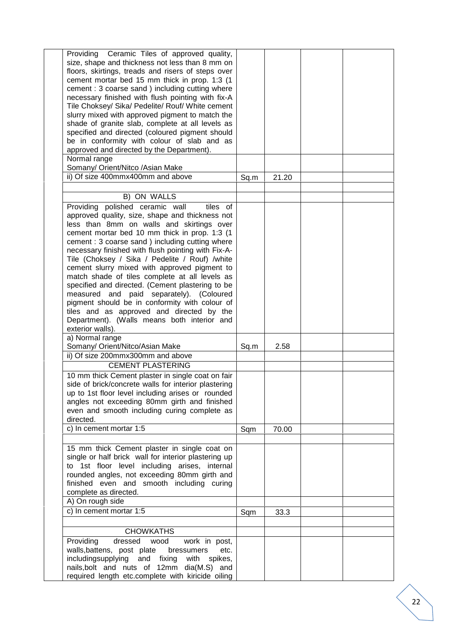| Providing Ceramic Tiles of approved quality,<br>size, shape and thickness not less than 8 mm on<br>floors, skirtings, treads and risers of steps over<br>cement mortar bed 15 mm thick in prop. 1:3 (1)<br>cement: 3 coarse sand ) including cutting where<br>necessary finished with flush pointing with fix-A<br>Tile Choksey/ Sika/ Pedelite/ Rouf/ White cement<br>slurry mixed with approved pigment to match the<br>shade of granite slab, complete at all levels as<br>specified and directed (coloured pigment should<br>be in conformity with colour of slab and as<br>approved and directed by the Department).<br>Normal range                                                                                    |      |       |  |
|------------------------------------------------------------------------------------------------------------------------------------------------------------------------------------------------------------------------------------------------------------------------------------------------------------------------------------------------------------------------------------------------------------------------------------------------------------------------------------------------------------------------------------------------------------------------------------------------------------------------------------------------------------------------------------------------------------------------------|------|-------|--|
| Somany/ Orient/Nitco /Asian Make<br>ii) Of size 400mmx400mm and above                                                                                                                                                                                                                                                                                                                                                                                                                                                                                                                                                                                                                                                        | Sq.m | 21.20 |  |
| B) ON WALLS                                                                                                                                                                                                                                                                                                                                                                                                                                                                                                                                                                                                                                                                                                                  |      |       |  |
| Providing polished ceramic wall<br>tiles of<br>approved quality, size, shape and thickness not<br>less than 8mm on walls and skirtings over<br>cement mortar bed 10 mm thick in prop. 1:3 (1)<br>cement: 3 coarse sand ) including cutting where<br>necessary finished with flush pointing with Fix-A-<br>Tile (Choksey / Sika / Pedelite / Rouf) /white<br>cement slurry mixed with approved pigment to<br>match shade of tiles complete at all levels as<br>specified and directed. (Cement plastering to be<br>measured and paid separately). (Coloured<br>pigment should be in conformity with colour of<br>tiles and as approved and directed by the<br>Department). (Walls means both interior and<br>exterior walls). |      |       |  |
| a) Normal range<br>Somany/ Orient/Nitco/Asian Make                                                                                                                                                                                                                                                                                                                                                                                                                                                                                                                                                                                                                                                                           | Sq.m | 2.58  |  |
| ii) Of size 200mmx300mm and above                                                                                                                                                                                                                                                                                                                                                                                                                                                                                                                                                                                                                                                                                            |      |       |  |
| <b>CEMENT PLASTERING</b>                                                                                                                                                                                                                                                                                                                                                                                                                                                                                                                                                                                                                                                                                                     |      |       |  |
| 10 mm thick Cement plaster in single coat on fair<br>side of brick/concrete walls for interior plastering<br>up to 1st floor level including arises or rounded<br>angles not exceeding 80mm girth and finished<br>even and smooth including curing complete as<br>directed.<br>c) In cement mortar 1:5                                                                                                                                                                                                                                                                                                                                                                                                                       | Sqm  | 70.00 |  |
| 15 mm thick Cement plaster in single coat on<br>single or half brick wall for interior plastering up<br>to 1st floor level including arises, internal<br>rounded angles, not exceeding 80mm girth and<br>finished even and smooth including curing<br>complete as directed.<br>A) On rough side                                                                                                                                                                                                                                                                                                                                                                                                                              |      |       |  |
| c) In cement mortar 1:5                                                                                                                                                                                                                                                                                                                                                                                                                                                                                                                                                                                                                                                                                                      | Sqm  | 33.3  |  |
| <b>CHOWKATHS</b>                                                                                                                                                                                                                                                                                                                                                                                                                                                                                                                                                                                                                                                                                                             |      |       |  |
| Providing<br>dressed wood<br>work in post,<br>walls, battens, post plate<br>etc.<br>bressumers<br>includingsupplying and fixing<br>with<br>spikes,<br>nails, bolt and nuts of 12mm dia(M.S) and<br>required length etc.complete with kiricide oiling                                                                                                                                                                                                                                                                                                                                                                                                                                                                         |      |       |  |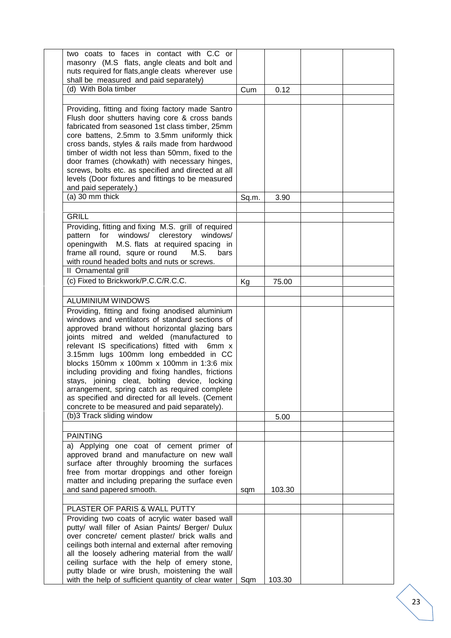| two coats to faces in contact with C.C or                                                          |       |        |  |
|----------------------------------------------------------------------------------------------------|-------|--------|--|
| masonry (M.S flats, angle cleats and bolt and                                                      |       |        |  |
| nuts required for flats, angle cleats wherever use                                                 |       |        |  |
| shall be measured and paid separately)                                                             |       |        |  |
| (d) With Bola timber                                                                               | Cum   | 0.12   |  |
|                                                                                                    |       |        |  |
| Providing, fitting and fixing factory made Santro                                                  |       |        |  |
| Flush door shutters having core & cross bands                                                      |       |        |  |
| fabricated from seasoned 1st class timber, 25mm                                                    |       |        |  |
| core battens, 2.5mm to 3.5mm uniformly thick                                                       |       |        |  |
| cross bands, styles & rails made from hardwood                                                     |       |        |  |
| timber of width not less than 50mm, fixed to the<br>door frames (chowkath) with necessary hinges,  |       |        |  |
| screws, bolts etc. as specified and directed at all                                                |       |        |  |
| levels (Door fixtures and fittings to be measured                                                  |       |        |  |
| and paid seperately.)                                                                              |       |        |  |
| $(a)$ 30 mm thick                                                                                  | Sq.m. | 3.90   |  |
|                                                                                                    |       |        |  |
| <b>GRILL</b>                                                                                       |       |        |  |
| Providing, fitting and fixing M.S. grill of required                                               |       |        |  |
| pattern for windows/ clerestory windows/                                                           |       |        |  |
| M.S. flats at required spacing in<br>openingwith                                                   |       |        |  |
| frame all round, squre or round<br>M.S.<br>bars                                                    |       |        |  |
| with round headed bolts and nuts or screws.                                                        |       |        |  |
| II Ornamental grill<br>(c) Fixed to Brickwork/P.C.C/R.C.C.                                         |       |        |  |
|                                                                                                    | Kg    | 75.00  |  |
| <b>ALUMINIUM WINDOWS</b>                                                                           |       |        |  |
| Providing, fitting and fixing anodised aluminium                                                   |       |        |  |
| windows and ventilators of standard sections of                                                    |       |        |  |
| approved brand without horizontal glazing bars                                                     |       |        |  |
| joints mitred and welded (manufactured to                                                          |       |        |  |
| relevant IS specifications) fitted with 6mm x                                                      |       |        |  |
| 3.15mm lugs 100mm long embedded in CC                                                              |       |        |  |
| blocks 150mm x 100mm x 100mm in 1:3:6 mix                                                          |       |        |  |
| including providing and fixing handles, frictions<br>stays, joining cleat, bolting device, locking |       |        |  |
| arrangement, spring catch as required complete                                                     |       |        |  |
| as specified and directed for all levels. (Cement                                                  |       |        |  |
| concrete to be measured and paid separately).                                                      |       |        |  |
| (b)3 Track sliding window                                                                          |       | 5.00   |  |
|                                                                                                    |       |        |  |
| <b>PAINTING</b>                                                                                    |       |        |  |
| a) Applying one coat of cement primer of                                                           |       |        |  |
| approved brand and manufacture on new wall                                                         |       |        |  |
| surface after throughly brooming the surfaces                                                      |       |        |  |
| free from mortar droppings and other foreign<br>matter and including preparing the surface even    |       |        |  |
| and sand papered smooth.                                                                           | sqm   | 103.30 |  |
|                                                                                                    |       |        |  |
| PLASTER OF PARIS & WALL PUTTY                                                                      |       |        |  |
| Providing two coats of acrylic water based wall                                                    |       |        |  |
| putty/ wall filler of Asian Paints/ Berger/ Dulux                                                  |       |        |  |
| over concrete/ cement plaster/ brick walls and                                                     |       |        |  |
| ceilings both internal and external after removing                                                 |       |        |  |
| all the loosely adhering material from the wall/                                                   |       |        |  |
| ceiling surface with the help of emery stone,<br>putty blade or wire brush, moistening the wall    |       |        |  |
| with the help of sufficient quantity of clear water                                                | Sqm   | 103.30 |  |
|                                                                                                    |       |        |  |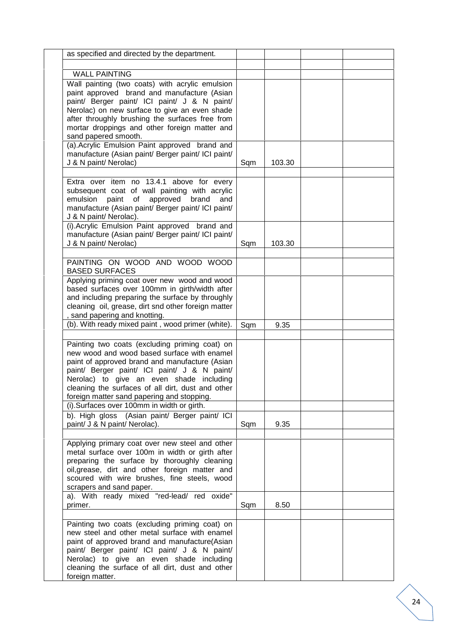| as specified and directed by the department.                                                                                                                                                                                                                                                                                                                                                  |     |        |  |
|-----------------------------------------------------------------------------------------------------------------------------------------------------------------------------------------------------------------------------------------------------------------------------------------------------------------------------------------------------------------------------------------------|-----|--------|--|
|                                                                                                                                                                                                                                                                                                                                                                                               |     |        |  |
| <b>WALL PAINTING</b><br>Wall painting (two coats) with acrylic emulsion<br>paint approved brand and manufacture (Asian<br>paint/ Berger paint/ ICI paint/ J & N paint/<br>Nerolac) on new surface to give an even shade<br>after throughly brushing the surfaces free from<br>mortar droppings and other foreign matter and<br>sand papered smooth.                                           |     |        |  |
| (a). Acrylic Emulsion Paint approved brand and<br>manufacture (Asian paint/ Berger paint/ ICI paint/<br>J & N paint/ Nerolac)                                                                                                                                                                                                                                                                 | Sqm | 103.30 |  |
| Extra over item no 13.4.1 above for every<br>subsequent coat of wall painting with acrylic<br>emulsion paint of approved<br>brand<br>and<br>manufacture (Asian paint/ Berger paint/ ICI paint/<br>J & N paint/ Nerolac).                                                                                                                                                                      |     |        |  |
| (i). Acrylic Emulsion Paint approved brand and<br>manufacture (Asian paint/ Berger paint/ ICI paint/<br>J & N paint/ Nerolac)                                                                                                                                                                                                                                                                 | Sqm | 103.30 |  |
| PAINTING ON WOOD AND WOOD WOOD<br><b>BASED SURFACES</b>                                                                                                                                                                                                                                                                                                                                       |     |        |  |
| Applying priming coat over new wood and wood<br>based surfaces over 100mm in girth/width after<br>and including preparing the surface by throughly<br>cleaning oil, grease, dirt snd other foreign matter<br>, sand papering and knotting.                                                                                                                                                    |     |        |  |
| (b). With ready mixed paint, wood primer (white).                                                                                                                                                                                                                                                                                                                                             | Sqm | 9.35   |  |
| Painting two coats (excluding priming coat) on<br>new wood and wood based surface with enamel<br>paint of approved brand and manufacture (Asian<br>paint/ Berger paint/ ICI paint/ J & N paint/<br>Nerolac) to give an even shade including<br>cleaning the surfaces of all dirt, dust and other<br>foreign matter sand papering and stopping.<br>(i). Surfaces over 100mm in width or girth. |     |        |  |
| b). High gloss (Asian paint/ Berger paint/ ICI<br>paint/ J & N paint/ Nerolac).                                                                                                                                                                                                                                                                                                               | Sqm | 9.35   |  |
| Applying primary coat over new steel and other<br>metal surface over 100m in width or girth after<br>preparing the surface by thoroughly cleaning<br>oil, grease, dirt and other foreign matter and<br>scoured with wire brushes, fine steels, wood<br>scrapers and sand paper.                                                                                                               |     |        |  |
| a). With ready mixed "red-lead/ red oxide"<br>primer.                                                                                                                                                                                                                                                                                                                                         | Sqm | 8.50   |  |
| Painting two coats (excluding priming coat) on<br>new steel and other metal surface with enamel<br>paint of approved brand and manufacture(Asian<br>paint/ Berger paint/ ICI paint/ J & N paint/<br>Nerolac) to give an even shade including<br>cleaning the surface of all dirt, dust and other<br>foreign matter.                                                                           |     |        |  |